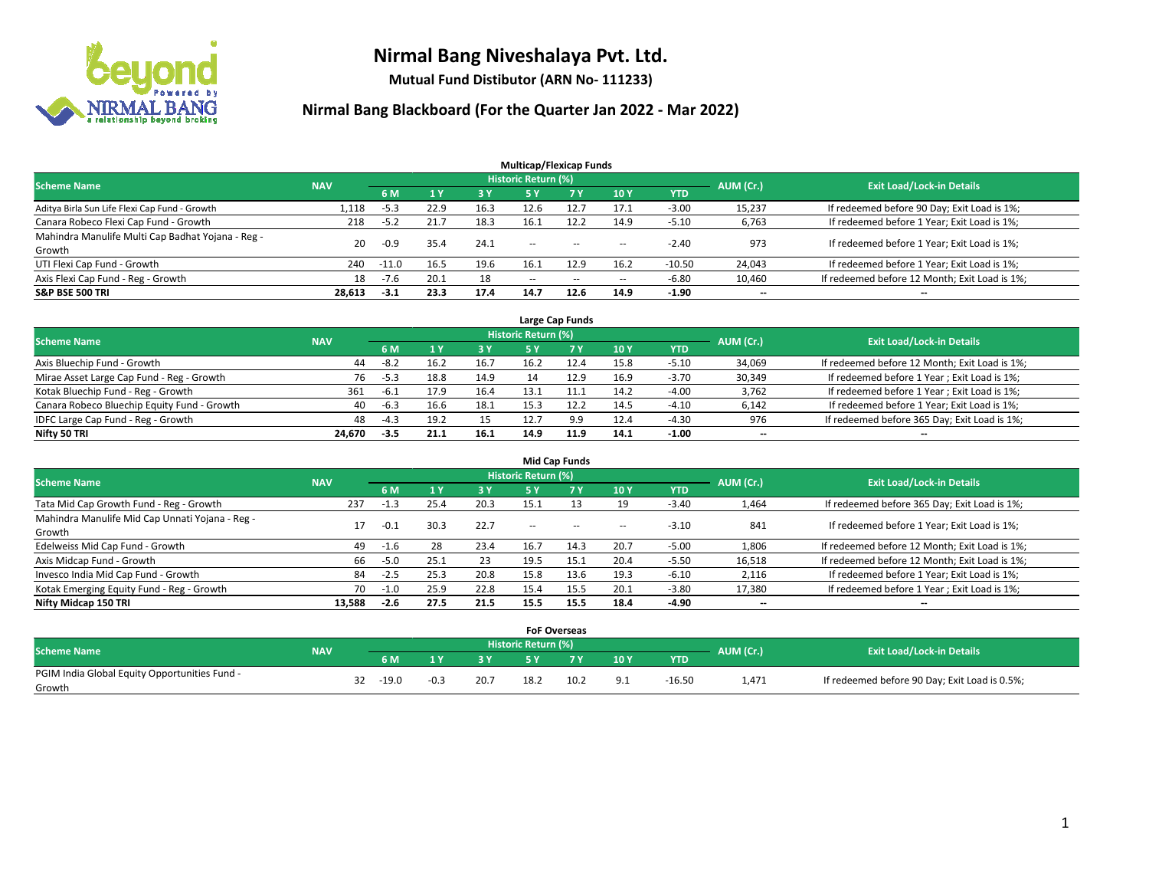

**Mutual Fund Distibutor (ARN No- 111233)**

|                                                   |            |         |      |            | <b>Multicap/Flexicap Funds</b> |                |                          |            |                          |                                               |
|---------------------------------------------------|------------|---------|------|------------|--------------------------------|----------------|--------------------------|------------|--------------------------|-----------------------------------------------|
| <b>Scheme Name</b>                                | <b>NAV</b> |         |      |            | Historic Return (%)            |                |                          |            | AUM (Cr.)                | <b>Exit Load/Lock-in Details</b>              |
|                                                   |            | 6 M     |      | <b>3 Y</b> | 5 Y                            | 7 <sub>V</sub> | <b>10Y</b>               | <b>YTD</b> |                          |                                               |
| Aditya Birla Sun Life Flexi Cap Fund - Growth     | 1,118      | $-5.3$  | 22.9 | 16.3       | 12.6                           | 12.7           | 17.1                     | $-3.00$    | 15,237                   | If redeemed before 90 Day; Exit Load is 1%;   |
| Canara Robeco Flexi Cap Fund - Growth             | 218        | $-5.2$  | 21.7 | 18.3       | 16.1                           | 12.2           | 14.9                     | $-5.10$    | 6,763                    | If redeemed before 1 Year; Exit Load is 1%;   |
| Mahindra Manulife Multi Cap Badhat Yojana - Reg - | 20         | $-0.9$  | 35.4 | 24.1       | $\sim$ $\sim$                  | $-$            |                          | $-2.40$    | 973                      | If redeemed before 1 Year; Exit Load is 1%;   |
| Growth                                            |            |         |      |            |                                |                | $\!-$                    |            |                          |                                               |
| UTI Flexi Cap Fund - Growth                       | 240        | $-11.0$ | 16.5 | 19.6       | 16.1                           | 12.9           | 16.2                     | $-10.50$   | 24,043                   | If redeemed before 1 Year; Exit Load is 1%;   |
| Axis Flexi Cap Fund - Reg - Growth                | 18         | $-7.6$  | 20.1 | 18         | $\overline{\phantom{m}}$       | $- -$          | $\overline{\phantom{a}}$ | $-6.80$    | 10,460                   | If redeemed before 12 Month; Exit Load is 1%; |
| <b>S&amp;P BSE 500 TRI</b>                        | 28,613     | $-3.1$  | 23.3 | 17.4       | 14.7                           | 12.6           | 14.9                     | $-1.90$    | $\overline{\phantom{a}}$ | $\overline{\phantom{a}}$                      |

| Large Cap Funds                             |            |        |      |      |                            |      |      |            |           |                                               |  |  |  |
|---------------------------------------------|------------|--------|------|------|----------------------------|------|------|------------|-----------|-----------------------------------------------|--|--|--|
| <b>Scheme Name</b>                          | <b>NAV</b> |        |      |      | <b>Historic Return (%)</b> |      |      |            | AUM (Cr.) | <b>Exit Load/Lock-in Details</b>              |  |  |  |
|                                             |            | 6 M    |      | 3 Y  |                            |      | 10Y  | <b>YTD</b> |           |                                               |  |  |  |
| Axis Bluechip Fund - Growth                 | 44         | $-8.2$ | 16.2 | 16.7 | 16.2                       |      | 15.8 | $-5.10$    | 34,069    | If redeemed before 12 Month; Exit Load is 1%; |  |  |  |
| Mirae Asset Large Cap Fund - Reg - Growth   | 76         | $-5.3$ | 18.8 | 14.9 |                            | 12.9 | 16.9 | $-3.70$    | 30,349    | If redeemed before 1 Year; Exit Load is 1%;   |  |  |  |
| Kotak Bluechip Fund - Reg - Growth          | 361        | -6.1   | 17.9 | 16.4 | 13.1                       |      | 14.2 | $-4.00$    | 3,762     | If redeemed before 1 Year; Exit Load is 1%;   |  |  |  |
| Canara Robeco Bluechip Equity Fund - Growth | 40         | -6.3   | 16.6 | 18.1 | 15.3                       | 12.2 | 14.5 | $-4.10$    | 6,142     | If redeemed before 1 Year; Exit Load is 1%;   |  |  |  |
| IDFC Large Cap Fund - Reg - Growth          | 48         | $-4.3$ | 19.2 | 15   | 12.7                       | 9.9  | 12.4 | $-4.30$    | 976       | If redeemed before 365 Day; Exit Load is 1%;  |  |  |  |
| Nifty 50 TRI                                | 24.670     | $-3.5$ | 21.1 | 16.1 | 14.9                       | 11.9 | 14.1 | $-1.00$    | $- -$     | $\overline{\phantom{a}}$                      |  |  |  |

| <b>Mid Cap Funds</b>                                      |            |           |      |      |                     |           |        |            |           |                                               |  |  |  |
|-----------------------------------------------------------|------------|-----------|------|------|---------------------|-----------|--------|------------|-----------|-----------------------------------------------|--|--|--|
| <b>Scheme Name</b>                                        | <b>NAV</b> |           |      |      | Historic Return (%) |           |        |            | AUM (Cr.) | <b>Exit Load/Lock-in Details</b>              |  |  |  |
|                                                           |            | <b>6M</b> |      | 3 Y  | 5 Y                 | <b>7Y</b> | 10Y    | <b>YTD</b> |           |                                               |  |  |  |
| Tata Mid Cap Growth Fund - Reg - Growth                   | 237        | $-1.3$    | 25.4 | 20.3 | 15.1                |           | 19     | $-3.40$    | 1,464     | If redeemed before 365 Day; Exit Load is 1%;  |  |  |  |
| Mahindra Manulife Mid Cap Unnati Yojana - Reg -<br>Growth | 17         | $-0.1$    | 30.3 | 22.7 | $\sim$ $\sim$       | $\sim$    | $\sim$ | $-3.10$    | 841       | If redeemed before 1 Year; Exit Load is 1%;   |  |  |  |
| Edelweiss Mid Cap Fund - Growth                           | 49         | -1.6      | 28   | 23.4 | 16.7                | 14.3      | 20.7   | $-5.00$    | 1,806     | If redeemed before 12 Month; Exit Load is 1%; |  |  |  |
| Axis Midcap Fund - Growth                                 | 66         | $-5.0$    | 25.1 | 23   | 19.5                | 15.1      | 20.4   | $-5.50$    | 16,518    | If redeemed before 12 Month; Exit Load is 1%; |  |  |  |
| Invesco India Mid Cap Fund - Growth                       | 84         | $-2.5$    | 25.3 | 20.8 | 15.8                | 13.6      | 19.3   | $-6.10$    | 2,116     | If redeemed before 1 Year; Exit Load is 1%;   |  |  |  |
| Kotak Emerging Equity Fund - Reg - Growth                 | 70         | $-1.0$    | 25.9 | 22.8 | 15.4                | 15.5      | 20.1   | $-3.80$    | 17,380    | If redeemed before 1 Year; Exit Load is 1%;   |  |  |  |
| Nifty Midcap 150 TRI                                      | 13.588     | -2.6      | 27.5 | 21.5 | 15.5                | 15.5      | 18.4   | -4.90      | $- -$     | $\overline{\phantom{a}}$                      |  |  |  |

|                                               |            |    |         |        |            | <b>FoF Overseas</b> |      |     |            |           |                                               |
|-----------------------------------------------|------------|----|---------|--------|------------|---------------------|------|-----|------------|-----------|-----------------------------------------------|
| <b>Scheme Name</b>                            | <b>NAV</b> |    |         |        |            | Historic Return (%) |      |     |            | AUM (Cr.) | <b>Exit Load/Lock-in Details</b>              |
|                                               |            |    | 6 M     | ıν     | <b>2 V</b> |                     | 7 V  | 10Y | <b>YTD</b> |           |                                               |
| PGIM India Global Equity Opportunities Fund - |            | 32 | $-19.0$ | $-0.3$ | 20.7       | 18.2                | 10.2 |     | $-16.50$   | 1,471     | If redeemed before 90 Day; Exit Load is 0.5%; |
| Growth                                        |            |    |         |        |            |                     |      |     |            |           |                                               |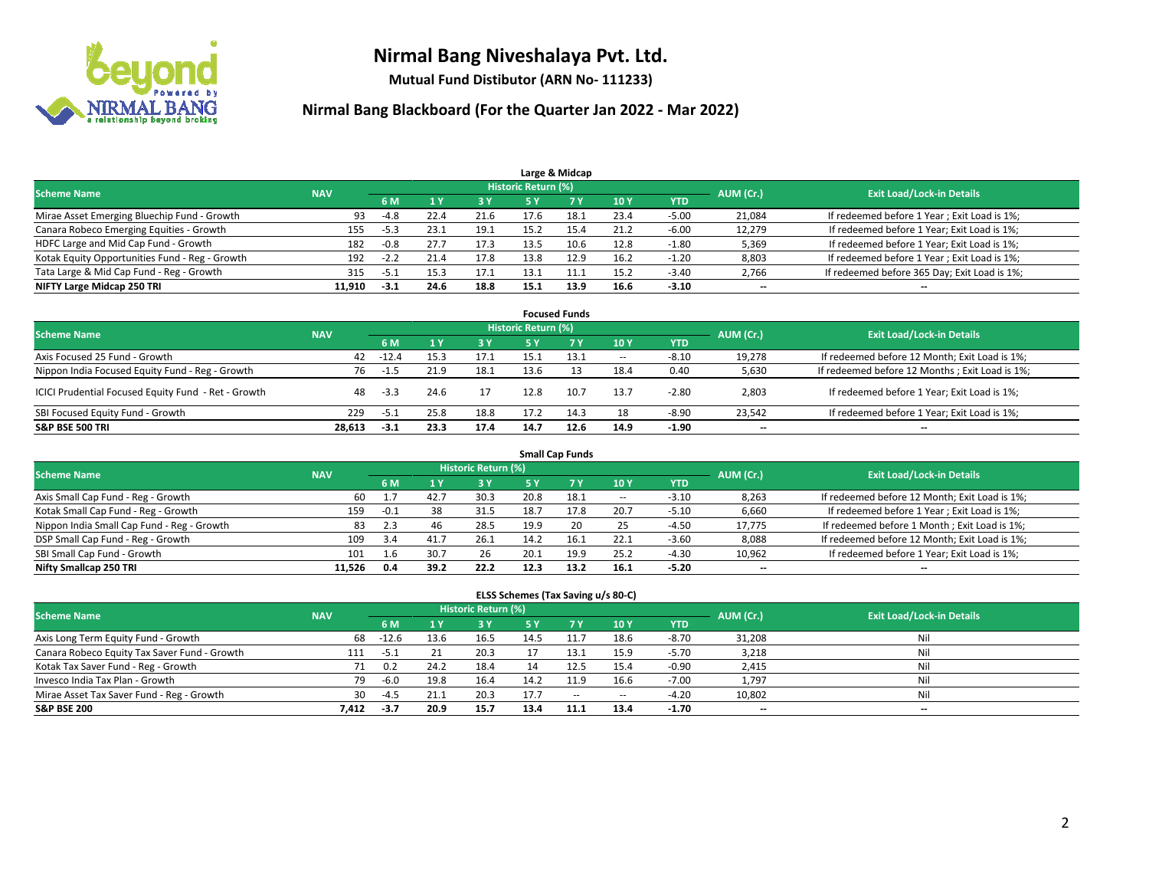

**Mutual Fund Distibutor (ARN No- 111233)**

| Large & Midcap                                 |            |        |      |      |                     |      |      |            |           |                                              |  |  |  |
|------------------------------------------------|------------|--------|------|------|---------------------|------|------|------------|-----------|----------------------------------------------|--|--|--|
| <b>Scheme Name</b>                             | <b>NAV</b> |        |      |      | Historic Return (%) |      |      |            | AUM (Cr.) | <b>Exit Load/Lock-in Details</b>             |  |  |  |
|                                                |            | 6 M    |      | 3 Y  | 5 ۷                 |      | 10Y  | <b>YTD</b> |           |                                              |  |  |  |
| Mirae Asset Emerging Bluechip Fund - Growth    | 93         | -4.8   | 22.4 | 21.6 | 17.6                | 18.1 | 23.4 | $-5.00$    | 21,084    | If redeemed before 1 Year; Exit Load is 1%;  |  |  |  |
| Canara Robeco Emerging Equities - Growth       | 155        | $-5.3$ | 23.1 | 19.1 | 15.2                | 15.4 | 21.2 | $-6.00$    | 12,279    | If redeemed before 1 Year; Exit Load is 1%;  |  |  |  |
| HDFC Large and Mid Cap Fund - Growth           | 182        | $-0.8$ | 27.7 | 17.3 | 13.5                | 10.6 | 12.8 | $-1.80$    | 5,369     | If redeemed before 1 Year; Exit Load is 1%;  |  |  |  |
| Kotak Equity Opportunities Fund - Reg - Growth | 192        | $-2.2$ | 21.4 | 17.8 | 13.8                | 12.9 | 16.2 | $-1.20$    | 8,803     | If redeemed before 1 Year; Exit Load is 1%;  |  |  |  |
| Tata Large & Mid Cap Fund - Reg - Growth       | 315        | -5.1   | 15.3 | 17.1 | 13.1                |      | 15.2 | $-3.40$    | 2,766     | If redeemed before 365 Day; Exit Load is 1%; |  |  |  |
| NIFTY Large Midcap 250 TRI                     | 11.910     | -3.1   | 24.6 | 18.8 | 15.1                | 13.9 | 16.6 | $-3.10$    | $- -$     | $- -$                                        |  |  |  |

| <b>Focused Funds</b>                                |            |         |      |      |                            |      |        |            |           |                                                 |  |  |  |
|-----------------------------------------------------|------------|---------|------|------|----------------------------|------|--------|------------|-----------|-------------------------------------------------|--|--|--|
| <b>Scheme Name</b>                                  | <b>NAV</b> |         |      |      | <b>Historic Return (%)</b> |      |        |            | AUM (Cr.) | <b>Exit Load/Lock-in Details</b>                |  |  |  |
|                                                     |            | 6 M     |      | 3 Y  |                            | 7 Y  | 10Y    | <b>YTD</b> |           |                                                 |  |  |  |
| Axis Focused 25 Fund - Growth                       | 42         | $-12.4$ | 15.3 | 17.1 | 15.1                       | 13.1 | $\sim$ | $-8.10$    | 19,278    | If redeemed before 12 Month; Exit Load is 1%;   |  |  |  |
| Nippon India Focused Equity Fund - Reg - Growth     | 76         | -1.5    | 21.9 | 18.1 | 13.6                       |      | 18.4   | 0.40       | 5,630     | If redeemed before 12 Months ; Exit Load is 1%; |  |  |  |
| ICICI Prudential Focused Equity Fund - Ret - Growth | 48         | $-3.3$  | 24.6 |      | 12.8                       | 10.7 | 13.7   | $-2.80$    | 2,803     | If redeemed before 1 Year; Exit Load is 1%;     |  |  |  |
| SBI Focused Equity Fund - Growth                    | 229        | $-5.1$  | 25.8 | 18.8 | 17.2                       | 14.3 | 18     | $-8.90$    | 23.542    | If redeemed before 1 Year; Exit Load is 1%;     |  |  |  |
| <b>S&amp;P BSE 500 TRI</b>                          | 28.613     | $-3.1$  | 23.3 | 17.4 | 14.7                       | 12.6 | 14.9   | $-1.90$    | $- -$     | $\overline{\phantom{a}}$                        |  |  |  |

| <b>Small Cap Funds</b>                     |            |        |      |                            |      |      |        |            |           |                                               |  |  |  |
|--------------------------------------------|------------|--------|------|----------------------------|------|------|--------|------------|-----------|-----------------------------------------------|--|--|--|
| <b>Scheme Name</b>                         | <b>NAV</b> |        |      | <b>Historic Return (%)</b> |      |      |        |            | AUM (Cr.) | <b>Exit Load/Lock-in Details</b>              |  |  |  |
|                                            |            | 6 M    |      | 3 Y                        | 5 Y  |      | 10Y    | <b>YTD</b> |           |                                               |  |  |  |
| Axis Small Cap Fund - Reg - Growth         | 60         |        | 42.7 | 30.3                       | 20.8 | 18.1 | $\sim$ | $-3.10$    | 8,263     | If redeemed before 12 Month; Exit Load is 1%; |  |  |  |
| Kotak Small Cap Fund - Reg - Growth        | 159        | $-0.1$ | 38   | 31.5                       | 18.7 | 17.8 | 20.7   | $-5.10$    | 6,660     | If redeemed before 1 Year; Exit Load is 1%;   |  |  |  |
| Nippon India Small Cap Fund - Reg - Growth | 83         | 2.3    | 46   | 28.5                       | 19.9 | 20   | 25     | $-4.50$    | 17,775    | If redeemed before 1 Month; Exit Load is 1%;  |  |  |  |
| DSP Small Cap Fund - Reg - Growth          | 109        | 3.4    | 41.7 | 26.1                       | 14.2 |      | 22.1   | $-3.60$    | 8,088     | If redeemed before 12 Month; Exit Load is 1%; |  |  |  |
| SBI Small Cap Fund - Growth                | 101        |        | 30.7 | 26                         | 20.1 | 19.9 | 25.2   | $-4.30$    | 10,962    | If redeemed before 1 Year; Exit Load is 1%;   |  |  |  |
| Nifty Smallcap 250 TRI                     | 11.526     | 0.4    | 39.2 | 22.2                       | 12.3 | 13.2 | 16.1   | $-5.20$    | $- -$     | $- -$                                         |  |  |  |

| ELSS Schemes (Tax Saving u/s 80-C)           |            |         |      |                            |      |           |        |            |                          |                                  |  |  |  |
|----------------------------------------------|------------|---------|------|----------------------------|------|-----------|--------|------------|--------------------------|----------------------------------|--|--|--|
| <b>Scheme Name</b>                           | <b>NAV</b> |         |      | <b>Historic Return (%)</b> |      |           |        |            | AUM (Cr.)                | <b>Exit Load/Lock-in Details</b> |  |  |  |
|                                              |            | 6 M     |      | 3 Y                        |      | <b>7Y</b> | 10Y    | <b>YTD</b> |                          |                                  |  |  |  |
| Axis Long Term Equity Fund - Growth          | 68         | $-12.6$ | 13.6 | 16.5                       | 14.5 |           | 18.6   | $-8.70$    | 31,208                   | Nil                              |  |  |  |
| Canara Robeco Equity Tax Saver Fund - Growth | 111        | $-5.1$  |      | 20.3                       |      | 13.1      | 15.9   | $-5.70$    | 3,218                    | Nil                              |  |  |  |
| Kotak Tax Saver Fund - Reg - Growth          |            | 0.2     | 24.2 | 18.4                       | 14   | 12.5      | 15.4   | $-0.90$    | 2,415                    | Nil                              |  |  |  |
| Invesco India Tax Plan - Growth              | 79         | -6.0    | 19.8 | 16.4                       | 14.2 | 11.9      | 16.6   | $-7.00$    | 1,797                    | Nil                              |  |  |  |
| Mirae Asset Tax Saver Fund - Reg - Growth    | 30         | $-4.5$  | 21.1 | 20.3                       | 17.7 | $\sim$    | $\sim$ | $-4.20$    | 10,802                   | Nil                              |  |  |  |
| <b>S&amp;P BSE 200</b>                       | 7,412      | -3.7    | 20.9 | 15.7                       | 13.4 | 11.1      | 13.4   | $-1.70$    | $\overline{\phantom{a}}$ | $- -$                            |  |  |  |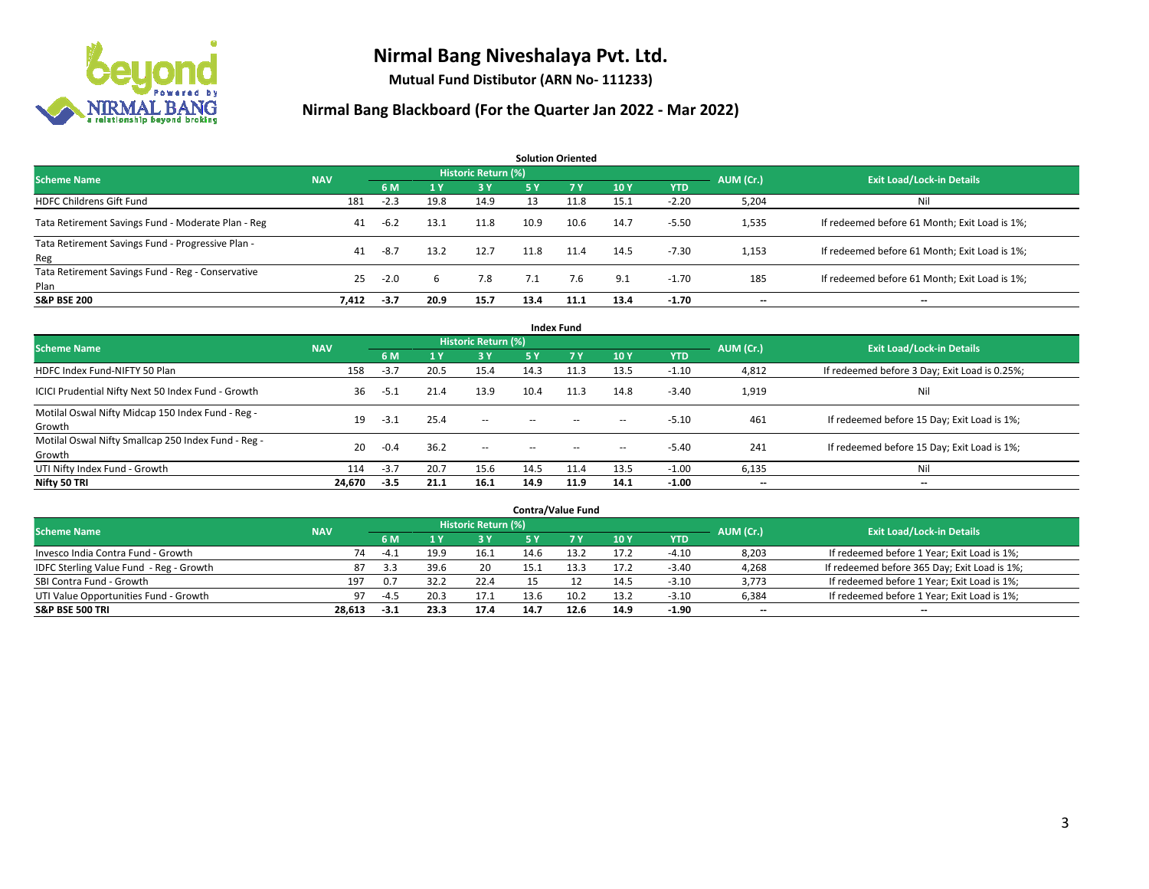

**Mutual Fund Distibutor (ARN No- 111233)**

| <b>Solution Oriented</b>                                  |            |        |      |                     |            |      |      |            |           |                                               |  |  |  |
|-----------------------------------------------------------|------------|--------|------|---------------------|------------|------|------|------------|-----------|-----------------------------------------------|--|--|--|
| <b>Scheme Name</b>                                        | <b>NAV</b> |        |      | Historic Return (%) |            |      |      |            | AUM (Cr.) | <b>Exit Load/Lock-in Details</b>              |  |  |  |
|                                                           |            | 6 M    | 1Y   | <b>3 Y</b>          | <b>5 Y</b> | 7 Y  | 10Y  | <b>YTD</b> |           |                                               |  |  |  |
| <b>HDFC Childrens Gift Fund</b>                           | 181        | $-2.3$ | 19.8 | 14.9                | 13         | 11.8 | 15.1 | $-2.20$    | 5,204     | Nil                                           |  |  |  |
| Tata Retirement Savings Fund - Moderate Plan - Reg        | 41         | $-6.2$ | 13.1 | 11.8                | 10.9       | 10.6 | 14.7 | $-5.50$    | 1,535     | If redeemed before 61 Month; Exit Load is 1%; |  |  |  |
| Tata Retirement Savings Fund - Progressive Plan -<br>Reg  | 41         | $-8.7$ | 13.2 | 12.7                | 11.8       | 11.4 | 14.5 | $-7.30$    | 1,153     | If redeemed before 61 Month; Exit Load is 1%; |  |  |  |
| Tata Retirement Savings Fund - Reg - Conservative<br>Plan | 25         | $-2.0$ | 6    | 7.8                 | 7.1        | 7.6  | 9.1  | $-1.70$    | 185       | If redeemed before 61 Month; Exit Load is 1%; |  |  |  |
| <b>S&amp;P BSE 200</b>                                    | 7,412      | $-3.7$ | 20.9 | 15.7                | 13.4       | 11.1 | 13.4 | -1.70      |           | --                                            |  |  |  |

| <b>Index Fund</b>                                             |            |        |              |                     |           |                                                |                          |            |           |                                               |  |  |  |
|---------------------------------------------------------------|------------|--------|--------------|---------------------|-----------|------------------------------------------------|--------------------------|------------|-----------|-----------------------------------------------|--|--|--|
| <b>Scheme Name</b>                                            | <b>NAV</b> |        |              | Historic Return (%) |           |                                                |                          |            | AUM (Cr.) | <b>Exit Load/Lock-in Details</b>              |  |  |  |
|                                                               |            | 6 M    | $\sqrt{1}$ Y | <b>3Y</b>           | <b>5Y</b> | 7 <sub>V</sub>                                 | <b>10Y</b>               | <b>YTD</b> |           |                                               |  |  |  |
| HDFC Index Fund-NIFTY 50 Plan                                 | 158        | $-3.7$ | 20.5         | 15.4                | 14.3      | 11.3                                           | 13.5                     | $-1.10$    | 4,812     | If redeemed before 3 Day; Exit Load is 0.25%; |  |  |  |
| ICICI Prudential Nifty Next 50 Index Fund - Growth            | 36         | $-5.1$ | 21.4         | 13.9                | 10.4      | 11.3                                           | 14.8                     | $-3.40$    | 1,919     | Nil                                           |  |  |  |
| Motilal Oswal Nifty Midcap 150 Index Fund - Reg -<br>Growth   | 19         | $-3.1$ | 25.4         | $\sim$              | $\sim$    | $\sim$                                         | $\hspace{0.05cm}$        | $-5.10$    | 461       | If redeemed before 15 Day; Exit Load is 1%;   |  |  |  |
| Motilal Oswal Nifty Smallcap 250 Index Fund - Reg -<br>Growth | 20         | $-0.4$ | 36.2         | $\sim$              | $\sim$    | $\hspace{0.1mm}-\hspace{0.1mm}-\hspace{0.1mm}$ | $\hspace{0.05cm} \cdots$ | $-5.40$    | 241       | If redeemed before 15 Day; Exit Load is 1%;   |  |  |  |
| UTI Nifty Index Fund - Growth                                 | 114        | $-3.7$ | 20.7         | 15.6                | 14.5      | 11.4                                           | 13.5                     | $-1.00$    | 6,135     | Nil                                           |  |  |  |
| Nifty 50 TRI                                                  | 24,670     | $-3.5$ | 21.1         | 16.1                | 14.9      | 11.9                                           | 14.1                     | $-1.00$    | $- -$     | $\overline{\phantom{a}}$                      |  |  |  |

| <b>Contra/Value Fund</b>                |            |        |      |                     |      |      |      |         |           |                                              |  |  |  |
|-----------------------------------------|------------|--------|------|---------------------|------|------|------|---------|-----------|----------------------------------------------|--|--|--|
| <b>Scheme Name</b>                      | <b>NAV</b> |        |      | Historic Return (%) |      |      |      |         | AUM (Cr.) | <b>Exit Load/Lock-in Details</b>             |  |  |  |
|                                         |            | 6 M    |      | 3 Y                 |      |      | 10Y  | YTD     |           |                                              |  |  |  |
| Invesco India Contra Fund - Growth      | 74         | $-4.1$ | 19.9 | 16.1                | 14.6 | 13.2 | 17.2 | $-4.10$ | 8,203     | If redeemed before 1 Year; Exit Load is 1%;  |  |  |  |
| IDFC Sterling Value Fund - Reg - Growth | 87         | 3.3    | 39.6 | 20                  |      |      | 17.2 | $-3.40$ | 4,268     | If redeemed before 365 Day; Exit Load is 1%; |  |  |  |
| SBI Contra Fund - Growth                | 197        | 0.7    | 32.2 | 22.4                | 15   |      | 14.5 | $-3.10$ | 3,773     | If redeemed before 1 Year; Exit Load is 1%;  |  |  |  |
| UTI Value Opportunities Fund - Growth   | 97         | $-4.5$ | 20.3 | 17.1                | 13.6 | 10.2 | 13.2 | $-3.10$ | 6,384     | If redeemed before 1 Year; Exit Load is 1%;  |  |  |  |
| <b>S&amp;P BSE 500 TRI</b>              | 28,613     | $-3.1$ | 23.3 | 17.4                | 14.7 | 12.6 | 14.9 | $-1.90$ | $- -$     | $- -$                                        |  |  |  |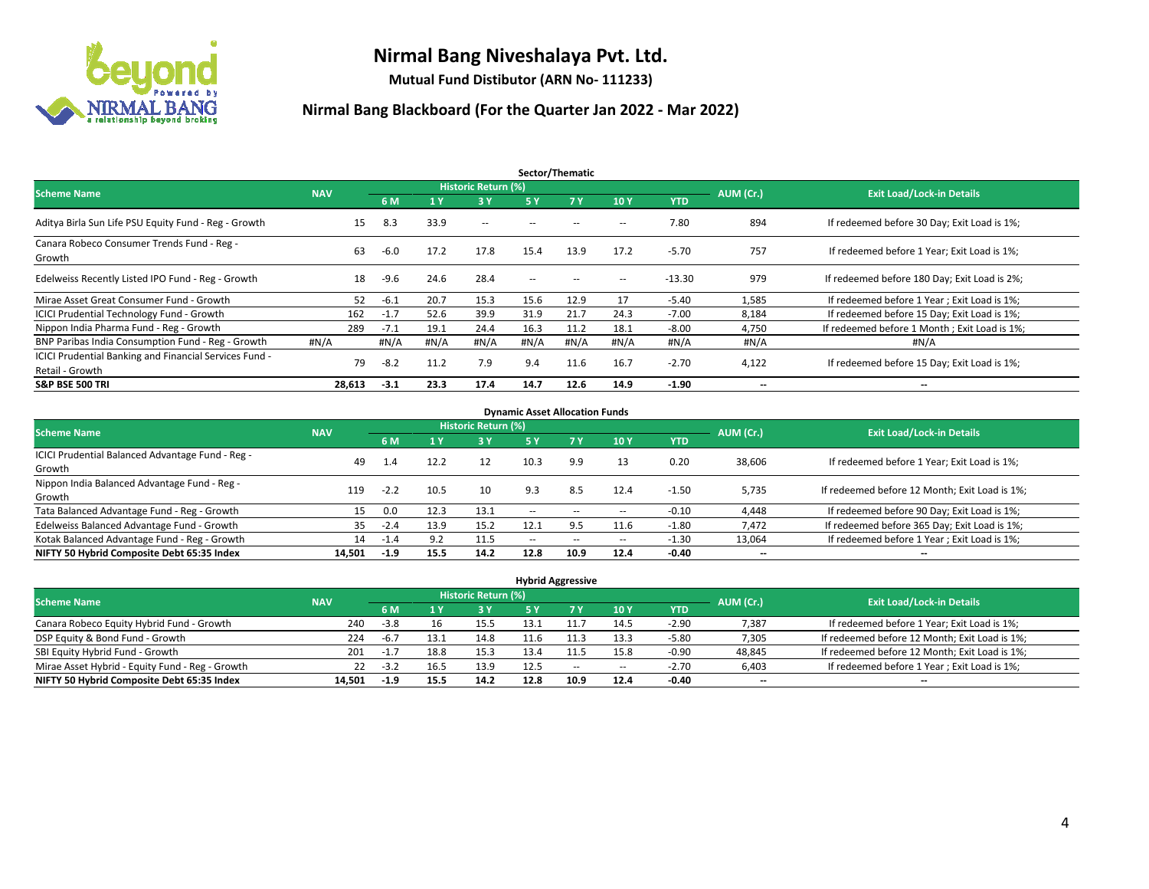

**Mutual Fund Distibutor (ARN No- 111233)**

| Sector/Thematic                                                           |            |        |      |                     |                          |      |      |            |                          |                                              |  |  |
|---------------------------------------------------------------------------|------------|--------|------|---------------------|--------------------------|------|------|------------|--------------------------|----------------------------------------------|--|--|
| <b>Scheme Name</b>                                                        | <b>NAV</b> |        |      | Historic Return (%) |                          |      |      |            | AUM (Cr.)                | <b>Exit Load/Lock-in Details</b>             |  |  |
|                                                                           |            | 6 M    | 1Y   | 3Y                  | 5 Y                      | 7Y   | 10Y  | <b>YTD</b> |                          |                                              |  |  |
| Aditya Birla Sun Life PSU Equity Fund - Reg - Growth                      | 15         | 8.3    | 33.9 | $\sim$ $-$          |                          |      | --   | 7.80       | 894                      | If redeemed before 30 Day; Exit Load is 1%;  |  |  |
| Canara Robeco Consumer Trends Fund - Reg -<br>Growth                      | 63         | $-6.0$ | 17.2 | 17.8                | 15.4                     | 13.9 | 17.2 | $-5.70$    | 757                      | If redeemed before 1 Year: Exit Load is 1%:  |  |  |
| Edelweiss Recently Listed IPO Fund - Reg - Growth                         | 18         | $-9.6$ | 24.6 | 28.4                | $\overline{\phantom{a}}$ |      | --   | $-13.30$   | 979                      | If redeemed before 180 Day; Exit Load is 2%; |  |  |
| Mirae Asset Great Consumer Fund - Growth                                  | 52         | $-6.1$ | 20.7 | 15.3                | 15.6                     | 12.9 | 17   | $-5.40$    | 1,585                    | If redeemed before 1 Year; Exit Load is 1%;  |  |  |
| <b>ICICI Prudential Technology Fund - Growth</b>                          | 162        | $-1.7$ | 52.6 | 39.9                | 31.9                     | 21.7 | 24.3 | $-7.00$    | 8,184                    | If redeemed before 15 Day; Exit Load is 1%;  |  |  |
| Nippon India Pharma Fund - Reg - Growth                                   | 289        | $-7.1$ | 19.1 | 24.4                | 16.3                     | 11.2 | 18.1 | $-8.00$    | 4,750                    | If redeemed before 1 Month; Exit Load is 1%; |  |  |
| BNP Paribas India Consumption Fund - Reg - Growth                         | #N/A       | #N/A   | #N/A | #N/A                | #N/A                     | #N/A | #N/A | #N/A       | #N/A                     | #N/A                                         |  |  |
| ICICI Prudential Banking and Financial Services Fund -<br>Retail - Growth | 79         | $-8.2$ | 11.2 | 7.9                 | 9.4                      | 11.6 | 16.7 | $-2.70$    | 4,122                    | If redeemed before 15 Day; Exit Load is 1%;  |  |  |
| <b>S&amp;P BSE 500 TRI</b>                                                | 28,613     | $-3.1$ | 23.3 | 17.4                | 14.7                     | 12.6 | 14.9 | $-1.90$    | $\overline{\phantom{a}}$ | $\overline{\phantom{a}}$                     |  |  |

| <b>Dynamic Asset Allocation Funds</b>            |            |        |      |                            |                          |                          |                          |            |           |                                               |  |  |  |
|--------------------------------------------------|------------|--------|------|----------------------------|--------------------------|--------------------------|--------------------------|------------|-----------|-----------------------------------------------|--|--|--|
| <b>Scheme Name</b>                               | <b>NAV</b> |        |      | <b>Historic Return (%)</b> |                          |                          |                          |            | AUM (Cr.) | <b>Exit Load/Lock-in Details</b>              |  |  |  |
|                                                  |            | 6 M    |      | $-3V$                      | 5 Y                      | 7 <sup>V</sup>           | 10Y                      | <b>YTD</b> |           |                                               |  |  |  |
| ICICI Prudential Balanced Advantage Fund - Reg - | 49         | 1.4    | 12.2 | 12                         | 10.3                     | 9.9                      | 13                       | 0.20       | 38,606    | If redeemed before 1 Year; Exit Load is 1%;   |  |  |  |
| Growth                                           |            |        |      |                            |                          |                          |                          |            |           |                                               |  |  |  |
| Nippon India Balanced Advantage Fund - Reg -     | 119        | $-2.2$ | 10.5 | 10                         | 9.3                      | 8.5                      | 12.4                     | $-1.50$    | 5,735     | If redeemed before 12 Month; Exit Load is 1%; |  |  |  |
| Growth                                           |            |        |      |                            |                          |                          |                          |            |           |                                               |  |  |  |
| Tata Balanced Advantage Fund - Reg - Growth      | 15         | 0.0    | 12.3 | 13.1                       | $\overline{\phantom{a}}$ | $\overline{\phantom{a}}$ | $\overline{\phantom{a}}$ | $-0.10$    | 4.448     | If redeemed before 90 Day; Exit Load is 1%;   |  |  |  |
| Edelweiss Balanced Advantage Fund - Growth       | 35         | $-2.4$ | 13.9 | 15.2                       | 12.1                     | 9.5                      | 11.6                     | $-1.80$    | 7,472     | If redeemed before 365 Day; Exit Load is 1%;  |  |  |  |
| Kotak Balanced Advantage Fund - Reg - Growth     | 14         | $-1.4$ | 9.2  | 11.5                       | $\overline{\phantom{a}}$ | $\overline{\phantom{a}}$ | $\overline{\phantom{a}}$ | $-1.30$    | 13,064    | If redeemed before 1 Year; Exit Load is 1%;   |  |  |  |
| NIFTY 50 Hybrid Composite Debt 65:35 Index       | 14.501     | $-1.9$ | 15.5 | 14.2                       | 12.8                     | 10.9                     | 12.4                     | $-0.40$    | $- -$     | $\overline{\phantom{a}}$                      |  |  |  |

| <b>Hybrid Aggressive</b>                        |            |        |      |                            |      |       |                          |         |           |                                               |  |  |  |  |
|-------------------------------------------------|------------|--------|------|----------------------------|------|-------|--------------------------|---------|-----------|-----------------------------------------------|--|--|--|--|
| <b>Scheme Name</b>                              | <b>NAV</b> |        |      | <b>Historic Return (%)</b> |      |       |                          |         | AUM (Cr.) | <b>Exit Load/Lock-in Details</b>              |  |  |  |  |
|                                                 |            | 6 M    |      | <b>3Y</b>                  | 5 Y  |       | 10Y                      | YTD     |           |                                               |  |  |  |  |
| Canara Robeco Equity Hybrid Fund - Growth       | 240        | $-3.8$ |      | 15.5                       |      | 11.7  | 14.5                     | $-2.90$ | 7,387     | If redeemed before 1 Year; Exit Load is 1%;   |  |  |  |  |
| DSP Equity & Bond Fund - Growth                 | 224        | $-6.7$ | 13.1 | 14.8                       | 11.6 |       | 13.3                     | $-5.80$ | 7,305     | If redeemed before 12 Month; Exit Load is 1%; |  |  |  |  |
| SBI Equity Hybrid Fund - Growth                 | 201        | $-1.7$ | 18.8 | 15.3                       | 13.4 |       | 15.8                     | $-0.90$ | 48,845    | If redeemed before 12 Month; Exit Load is 1%; |  |  |  |  |
| Mirae Asset Hybrid - Equity Fund - Reg - Growth | 22         | $-3.2$ | 16.5 | 13.9                       | 12.5 | $- -$ | $\overline{\phantom{a}}$ | $-2.70$ | 6,403     | If redeemed before 1 Year; Exit Load is 1%;   |  |  |  |  |
| NIFTY 50 Hybrid Composite Debt 65:35 Index      | 14.501     | $-1.9$ | 15.5 | 14.2                       | 12.8 | 10.9  | 12.4                     | $-0.40$ | $- -$     | $\overline{\phantom{a}}$                      |  |  |  |  |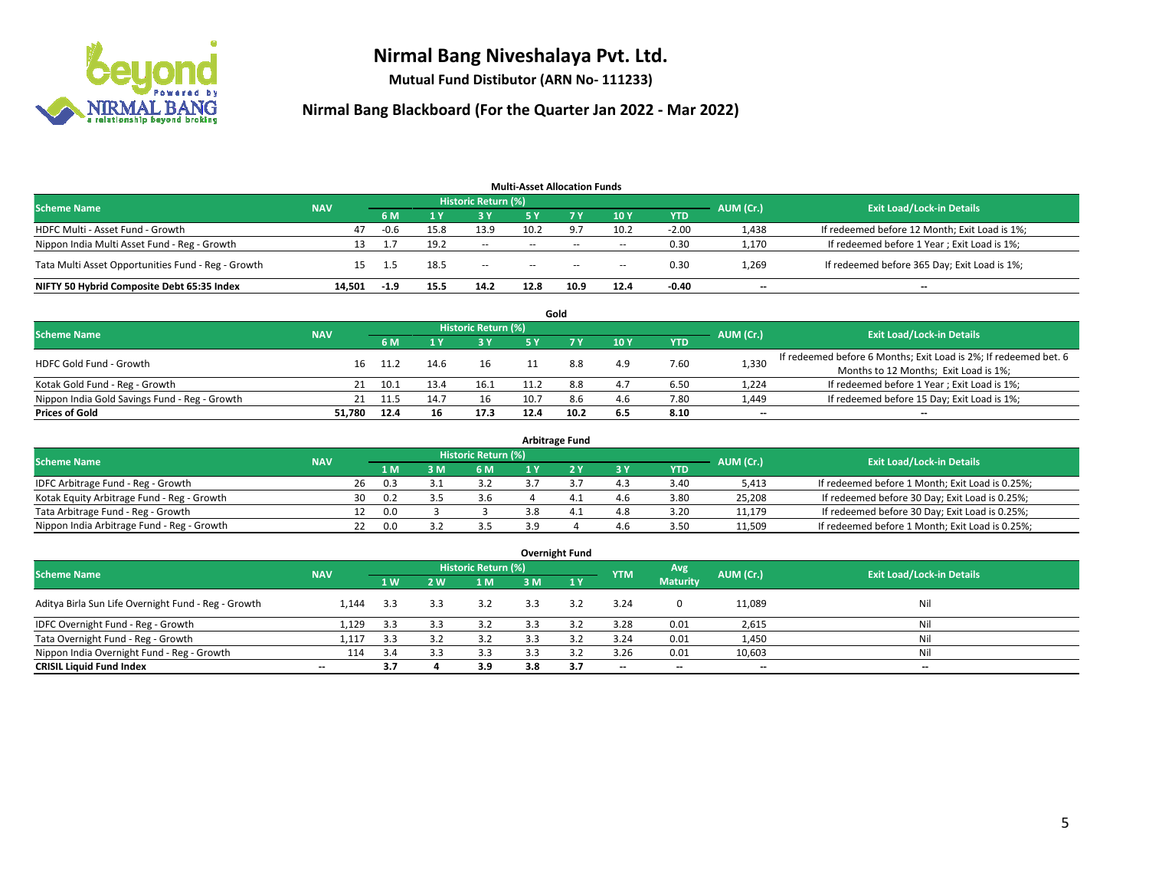

**Mutual Fund Distibutor (ARN No- 111233)**

| <b>Multi-Asset Allocation Funds</b>                |            |        |      |                     |               |        |        |            |                          |                                               |  |  |  |
|----------------------------------------------------|------------|--------|------|---------------------|---------------|--------|--------|------------|--------------------------|-----------------------------------------------|--|--|--|
| <b>Scheme Name</b>                                 | <b>NAV</b> |        |      | Historic Return (%) |               |        |        |            | AUM (Cr.)                | <b>Exit Load/Lock-in Details</b>              |  |  |  |
|                                                    |            | 6 M    |      | 3 Y                 | 5 Y           |        | 10Y    | <b>YTD</b> |                          |                                               |  |  |  |
| HDFC Multi - Asset Fund - Growth                   | 47         | -0.6   | 15.8 | 13.9                | 10.2          | - q -  | 10.2   | $-2.00$    | 1,438                    | If redeemed before 12 Month; Exit Load is 1%; |  |  |  |
| Nippon India Multi Asset Fund - Reg - Growth       |            |        | 19.2 | $\sim$              | $\sim$ $\sim$ | $\sim$ | $\sim$ | 0.30       | 1,170                    | If redeemed before 1 Year; Exit Load is 1%;   |  |  |  |
| Tata Multi Asset Opportunities Fund - Reg - Growth | 15.        | 1.5    | 18.5 | $\sim$              | $- -$         | $- -$  | $\!-$  | 0.30       | 1,269                    | If redeemed before 365 Day; Exit Load is 1%;  |  |  |  |
| NIFTY 50 Hybrid Composite Debt 65:35 Index         | 14.501     | $-1.9$ | 15.5 | 14.2                | 12.8          | 10.9   | 12.4   | -0.40      | $\overline{\phantom{a}}$ | $\overline{\phantom{a}}$                      |  |  |  |

|                                               |            |      |      |      |           | Gold                             |     |      |                          |                                                                  |
|-----------------------------------------------|------------|------|------|------|-----------|----------------------------------|-----|------|--------------------------|------------------------------------------------------------------|
| <b>Scheme Name</b>                            | <b>NAV</b> |      |      |      | AUM (Cr.) | <b>Exit Load/Lock-in Details</b> |     |      |                          |                                                                  |
|                                               |            | 6 M  |      | 3 Y  | 5 V       |                                  | 10Y | YTD  |                          |                                                                  |
| <b>HDFC Gold Fund - Growth</b>                | 16         | 11.2 | 14.6 | 16   |           | 8.8                              | 4.9 | 7.60 | 1,330                    | If redeemed before 6 Months; Exit Load is 2%; If redeemed bet. 6 |
|                                               |            |      |      |      |           |                                  |     |      |                          | Months to 12 Months; Exit Load is 1%;                            |
| Kotak Gold Fund - Reg - Growth                |            | 10.1 |      | 16.1 |           | 8.8                              | 4.7 | 6.50 | 1,224                    | If redeemed before 1 Year; Exit Load is 1%;                      |
| Nippon India Gold Savings Fund - Reg - Growth | 21         | 11.5 |      | 16   | 10.7      | 8.6                              | 4.6 | 7.80 | 1,449                    | If redeemed before 15 Day; Exit Load is 1%;                      |
| <b>Prices of Gold</b>                         | 51.780     | 12.4 | 16   | 17.3 | 12.4      | 10.2                             | 6.5 | 8.10 | $\overline{\phantom{a}}$ | --                                                               |

| <b>Arbitrage Fund</b>                      |            |                                  |     |     |     |     |  |     |            |        |                                                 |  |  |  |
|--------------------------------------------|------------|----------------------------------|-----|-----|-----|-----|--|-----|------------|--------|-------------------------------------------------|--|--|--|
| <b>Scheme Name</b>                         | AUM (Cr.)  | <b>Exit Load/Lock-in Details</b> |     |     |     |     |  |     |            |        |                                                 |  |  |  |
|                                            | <b>NAV</b> |                                  | 1 M | : M | 6 M |     |  | 3 Y | <b>YTD</b> |        |                                                 |  |  |  |
| IDFC Arbitrage Fund - Reg - Growth         |            | 26                               | 0.3 |     | 3.2 |     |  | 4.3 | 3.40       | 5,413  | If redeemed before 1 Month; Exit Load is 0.25%; |  |  |  |
| Kotak Equity Arbitrage Fund - Reg - Growth |            | 30                               | 0.2 |     | 3.6 |     |  | 4.6 | 3.80       | 25,208 | If redeemed before 30 Day; Exit Load is 0.25%;  |  |  |  |
| Tata Arbitrage Fund - Reg - Growth         |            |                                  | 0.0 |     |     | 3.8 |  | 4.8 | 3.20       | 11.179 | If redeemed before 30 Day; Exit Load is 0.25%;  |  |  |  |
| Nippon India Arbitrage Fund - Reg - Growth |            |                                  | 0.0 |     |     |     |  | 4.6 | 3.50       | 11,509 | If redeemed before 1 Month; Exit Load is 0.25%; |  |  |  |

|                                                     |                          |     |     |                            |     | <b>Overnight Fund</b> |                          |                 |                          |                                  |
|-----------------------------------------------------|--------------------------|-----|-----|----------------------------|-----|-----------------------|--------------------------|-----------------|--------------------------|----------------------------------|
| <b>Scheme Name</b>                                  | <b>NAV</b>               |     |     | <b>Historic Return (%)</b> |     |                       | <b>YTM</b>               | Avg             | AUM (Cr.)                | <b>Exit Load/Lock-in Details</b> |
|                                                     |                          | 1W  | 2 W | 1 M                        | 3 M | 1Y                    |                          | <b>Maturity</b> |                          |                                  |
| Aditya Birla Sun Life Overnight Fund - Reg - Growth | 1.144                    | 3.3 | 3.3 | 3.2                        | 3.3 | 3.2                   | 3.24                     | $\mathbf{0}$    | 11,089                   | Nil                              |
| IDFC Overnight Fund - Reg - Growth                  | 1,129                    | 3.3 | 3.3 | 3.2                        | 3.3 | 3.2                   | 3.28                     | 0.01            | 2,615                    | Nil                              |
| Tata Overnight Fund - Reg - Growth                  | 1,117                    | 3.3 |     | 3.2                        | 3.3 |                       | 3.24                     | 0.01            | 1,450                    | Nil                              |
| Nippon India Overnight Fund - Reg - Growth          | 114                      | 3.4 | 3.3 | 3.3                        |     |                       | 3.26                     | 0.01            | 10,603                   | Nil                              |
| <b>CRISIL Liquid Fund Index</b>                     | $\overline{\phantom{a}}$ | 3.7 |     | 3.9                        | 3.8 | 3.7                   | $\overline{\phantom{a}}$ | $- -$           | $\overline{\phantom{a}}$ | $-$                              |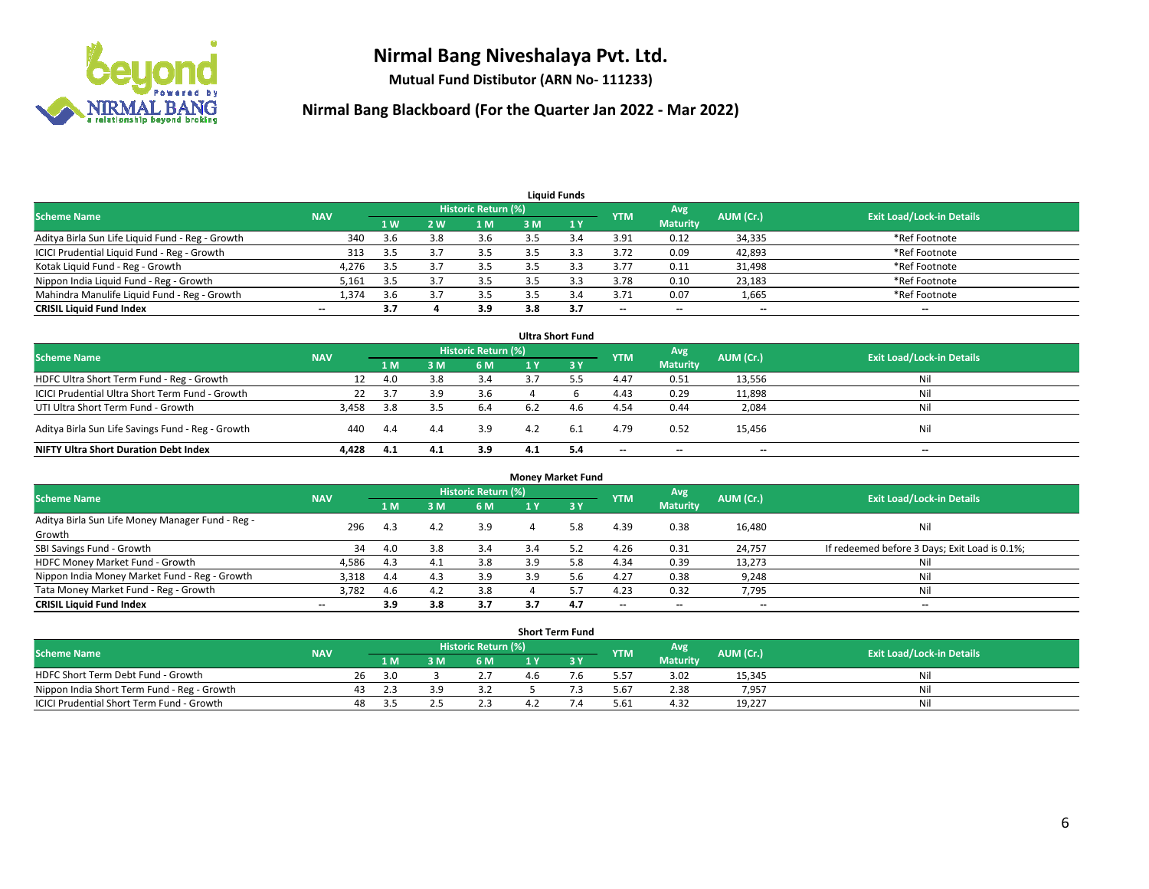

**Mutual Fund Distibutor (ARN No- 111233)**

| <b>Liquid Funds</b>                              |                          |                |     |                            |     |     |                          |                          |           |                                  |  |  |  |
|--------------------------------------------------|--------------------------|----------------|-----|----------------------------|-----|-----|--------------------------|--------------------------|-----------|----------------------------------|--|--|--|
| <b>Scheme Name</b>                               | <b>NAV</b>               |                |     | <b>Historic Return (%)</b> |     |     | <b>YTM</b>               | Avg                      | AUM (Cr.) | <b>Exit Load/Lock-in Details</b> |  |  |  |
|                                                  |                          | 1 <sub>W</sub> | 2 W | 1 M                        | 3 M |     |                          | <b>Maturity</b>          |           |                                  |  |  |  |
| Aditya Birla Sun Life Liquid Fund - Reg - Growth | 340                      | 3.6            | 3.8 | 3.6                        |     |     | 3.91                     | 0.12                     | 34,335    | *Ref Footnote                    |  |  |  |
| ICICI Prudential Liquid Fund - Reg - Growth      | 313                      | -3.5           |     | 3.5                        |     |     | 3.72                     | 0.09                     | 42,893    | *Ref Footnote                    |  |  |  |
| Kotak Liquid Fund - Reg - Growth                 | 4,276                    | 3.5            |     | 3.5                        |     |     | 3.77                     | 0.11                     | 31,498    | *Ref Footnote                    |  |  |  |
| Nippon India Liquid Fund - Reg - Growth          | 5,161                    | 3.5            |     |                            |     |     | 3.78                     | 0.10                     | 23,183    | *Ref Footnote                    |  |  |  |
| Mahindra Manulife Liquid Fund - Reg - Growth     | 1,374                    | 3.6            |     | 3.5                        |     | 3.4 | 3.71                     | 0.07                     | 1,665     | *Ref Footnote                    |  |  |  |
| <b>CRISIL Liquid Fund Index</b>                  | $\overline{\phantom{a}}$ | 3.7            |     | 3.9                        | 3.8 | 3.7 | $\overline{\phantom{a}}$ | $\overline{\phantom{a}}$ | $- -$     | $- -$                            |  |  |  |

| <b>Ultra Short Fund</b>                           |            |      |     |                     |     |           |            |                 |           |                                  |  |  |  |
|---------------------------------------------------|------------|------|-----|---------------------|-----|-----------|------------|-----------------|-----------|----------------------------------|--|--|--|
| <b>Scheme Name</b>                                | <b>NAV</b> |      |     | Historic Return (%) |     |           | <b>YTM</b> | Avg             | AUM (Cr.) | <b>Exit Load/Lock-in Details</b> |  |  |  |
|                                                   |            | 1 M  | 3 M | 6 M                 |     | <b>3Y</b> |            | <b>Maturity</b> |           |                                  |  |  |  |
| HDFC Ultra Short Term Fund - Reg - Growth         |            | 4.0  | 3.8 | 3.4                 |     |           | 4.47       | 0.51            | 13,556    | Nil                              |  |  |  |
| ICICI Prudential Ultra Short Term Fund - Growth   | 22         | 3.7  |     | 3.6                 |     |           | 4.43       | 0.29            | 11,898    | Nil                              |  |  |  |
| UTI Ultra Short Term Fund - Growth                | 3,458      | -3.8 |     | 6.4                 | 6.2 | 4.6       | 4.54       | 0.44            | 2,084     | Nil                              |  |  |  |
| Aditya Birla Sun Life Savings Fund - Reg - Growth | 440        | 4.4  | 4.4 | 3.9                 | 4.2 | -6.1      | 4.79       | 0.52            | 15,456    | Nil                              |  |  |  |
| <b>NIFTY Ultra Short Duration Debt Index</b>      | 4,428      | 4.1  | 4.1 | 3.9                 | 4.1 | 5.4       | $-$        | $-$             | $- -$     | $- -$                            |  |  |  |

| <b>Money Market Fund</b>                                   |            |       |     |                            |     |     |                          |                 |           |                                               |  |  |  |
|------------------------------------------------------------|------------|-------|-----|----------------------------|-----|-----|--------------------------|-----------------|-----------|-----------------------------------------------|--|--|--|
| <b>Scheme Name</b>                                         | <b>NAV</b> |       |     | <b>Historic Return (%)</b> |     |     | <b>YTM</b>               | Avg             | AUM (Cr.) | <b>Exit Load/Lock-in Details</b>              |  |  |  |
|                                                            |            | 1 M / | 3M  | 6 M                        |     | 3Y  |                          | <b>Maturity</b> |           |                                               |  |  |  |
| Aditya Birla Sun Life Money Manager Fund - Reg -<br>Growth | 296        | 4.3   | 4.2 | 3.9                        | 4   | 5.8 | 4.39                     | 0.38            | 16,480    | Nil                                           |  |  |  |
| SBI Savings Fund - Growth                                  | 34         | 4.0   | 3.8 | 3.4                        | 3.4 |     | 4.26                     | 0.31            | 24,757    | If redeemed before 3 Days; Exit Load is 0.1%; |  |  |  |
| HDFC Money Market Fund - Growth                            | 4,586      | 4.3   | 4.1 | 3.8                        | 3.9 | 5.8 | 4.34                     | 0.39            | 13,273    | Nil                                           |  |  |  |
| Nippon India Money Market Fund - Reg - Growth              | 3,318      | 4.4   | 4.3 | 3.9                        | 3.9 |     | 4.27                     | 0.38            | 9,248     | Nil                                           |  |  |  |
| Tata Money Market Fund - Reg - Growth                      | 3,782      | 4.6   | 4.2 | 3.8                        |     | 5.7 | 4.23                     | 0.32            | 7,795     | Nil                                           |  |  |  |
| <b>CRISIL Liquid Fund Index</b>                            | $-$        | 3.9   | 3.8 | 3.7                        | 3.7 | 4.7 | $\overline{\phantom{a}}$ | --              | $- -$     | $- -$                                         |  |  |  |

| <b>Short Term Fund</b>                      |            |    |     |  |                     |  |  |            |                 |           |                                  |  |  |  |
|---------------------------------------------|------------|----|-----|--|---------------------|--|--|------------|-----------------|-----------|----------------------------------|--|--|--|
| <b>Scheme Name</b>                          | <b>NAV</b> |    |     |  | Historic Return (%) |  |  | <b>YTM</b> | Avg             | AUM (Cr.) | <b>Exit Load/Lock-in Details</b> |  |  |  |
|                                             |            |    | 1 M |  | 6 M                 |  |  |            | <b>Maturity</b> |           |                                  |  |  |  |
| HDFC Short Term Debt Fund - Growth          |            | 26 | 3.0 |  |                     |  |  | 5.57       | 3.02            | 15,345    | Nil                              |  |  |  |
| Nippon India Short Term Fund - Reg - Growth |            | 43 |     |  | י ג                 |  |  | 5.67       | 2.38            | 7,957     | Nil                              |  |  |  |
| ICICI Prudential Short Term Fund - Growth   |            | 48 | 3.5 |  | 2.3                 |  |  | 5.61       | 4.32            | 19,227    | Nil                              |  |  |  |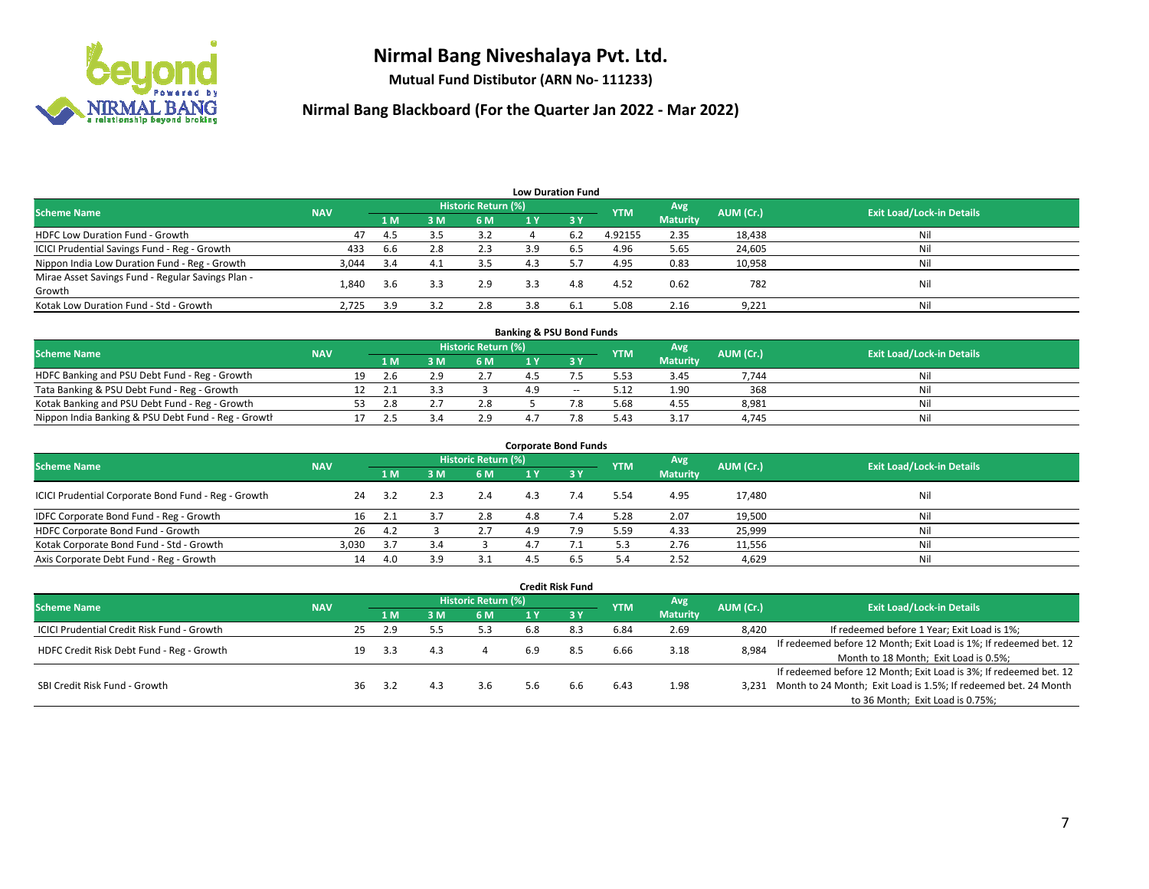

**Mutual Fund Distibutor (ARN No- 111233)**

| <b>Low Duration Fund</b>                          |            |     |     |                     |     |                               |            |                 |           |                                  |  |  |  |
|---------------------------------------------------|------------|-----|-----|---------------------|-----|-------------------------------|------------|-----------------|-----------|----------------------------------|--|--|--|
| <b>Scheme Name</b>                                | <b>NAV</b> |     |     | Historic Return (%) |     |                               | <b>YTM</b> | Avg             | AUM (Cr.) | <b>Exit Load/Lock-in Details</b> |  |  |  |
|                                                   |            | 1 M | 3M  | 6 M                 | 1 Y | $\overline{3}$ $\overline{V}$ |            | <b>Maturity</b> |           |                                  |  |  |  |
| <b>HDFC Low Duration Fund - Growth</b>            | 47         | 4.5 | 3.5 | 3.2                 |     | 6.2                           | 4.92155    | 2.35            | 18,438    | Nil                              |  |  |  |
| ICICI Prudential Savings Fund - Reg - Growth      | 433        | 6.6 | 2.8 | 2.3                 | 3.9 | 6.5                           | 4.96       | 5.65            | 24,605    | Nil                              |  |  |  |
| Nippon India Low Duration Fund - Reg - Growth     | 3,044      | 3.4 | 4.1 | 3.5                 | 4.3 |                               | 4.95       | 0.83            | 10,958    | Nil                              |  |  |  |
| Mirae Asset Savings Fund - Regular Savings Plan - | 1.840      | 3.6 | 3.3 | 2.9                 | 3.3 | 4.8                           | 4.52       | 0.62            | 782       | Nil                              |  |  |  |
| Growth                                            |            |     |     |                     |     |                               |            |                 |           |                                  |  |  |  |
| Kotak Low Duration Fund - Std - Growth            | 2,725      | 3.9 | 3.2 | 2.8                 | 3.8 | 6.1                           | 5.08       | 2.16            | 9,221     | Nil                              |  |  |  |

| <b>Banking &amp; PSU Bond Funds</b>                 |            |    |     |     |                     |  |        |            |                 |           |                                  |  |  |  |
|-----------------------------------------------------|------------|----|-----|-----|---------------------|--|--------|------------|-----------------|-----------|----------------------------------|--|--|--|
| <b>Scheme Name</b>                                  | <b>NAV</b> |    |     |     | Historic Return (%) |  |        | <b>YTM</b> | Avg             | AUM (Cr.) | <b>Exit Load/Lock-in Details</b> |  |  |  |
|                                                     |            |    | 1 M |     | 6 M                 |  |        |            | <b>Maturity</b> |           |                                  |  |  |  |
| HDFC Banking and PSU Debt Fund - Reg - Growth       |            | 19 |     | ه ۱ | 2.7                 |  |        | 5.53       | 3.45            | 7.744     | Nil                              |  |  |  |
| Tata Banking & PSU Debt Fund - Reg - Growth         |            |    |     |     |                     |  | $\sim$ | 5.12       | 1.90            | 368       | Nil                              |  |  |  |
| Kotak Banking and PSU Debt Fund - Reg - Growth      |            | 53 |     |     | 2.8                 |  |        | 5.68       | 4.55            | 8,981     | Nil                              |  |  |  |
| Nippon India Banking & PSU Debt Fund - Reg - Growth |            |    |     |     | 2.9                 |  |        | 5.43       | 3.17            | 4.745     | Nil                              |  |  |  |

| <b>Corporate Bond Funds</b>                         |            |     |     |                            |     |      |            |                        |           |                                  |  |
|-----------------------------------------------------|------------|-----|-----|----------------------------|-----|------|------------|------------------------|-----------|----------------------------------|--|
| <b>Scheme Name</b>                                  | <b>NAV</b> |     |     | <b>Historic Return (%)</b> |     |      | <b>YTM</b> | Avg<br><b>Maturity</b> | AUM (Cr.) | <b>Exit Load/Lock-in Details</b> |  |
|                                                     |            | 1 M | 3 М | 6 M                        | 1 Y | -3 Y |            |                        |           |                                  |  |
| ICICI Prudential Corporate Bond Fund - Reg - Growth | 24         | 3.2 |     | 2.4                        | 4.3 |      | 5.54       | 4.95                   | 17,480    | Nil                              |  |
| IDFC Corporate Bond Fund - Reg - Growth             | 16         |     |     | 2.8                        | 4.8 |      | 5.28       | 2.07                   | 19,500    | Nil                              |  |
| HDFC Corporate Bond Fund - Growth                   | 26         | 4.2 |     | 2.7                        | 4.9 |      | 5.59       | 4.33                   | 25,999    | Nil                              |  |
| Kotak Corporate Bond Fund - Std - Growth            | 3.030      | 3.7 |     |                            |     |      | 5.3        | 2.76                   | 11,556    | Nil                              |  |
| Axis Corporate Debt Fund - Reg - Growth             | 14         | 4.0 |     |                            |     | 6.5  | 5.4        | 2.52                   | 4,629     | Nil                              |  |

|                                                   |            |    |     |     |                            |     | <b>Credit Risk Fund</b> |            |                        |           |                                                                       |
|---------------------------------------------------|------------|----|-----|-----|----------------------------|-----|-------------------------|------------|------------------------|-----------|-----------------------------------------------------------------------|
| <b>Scheme Name</b>                                | <b>NAV</b> |    |     |     | <b>Historic Return (%)</b> |     |                         | <b>YTM</b> | Avg<br><b>Maturity</b> | AUM (Cr.) | <b>Exit Load/Lock-in Details</b>                                      |
|                                                   |            |    | 1 M | 3 M | 6 M                        | 1 Y | $\sqrt{3}$ Y            |            |                        |           |                                                                       |
| <b>ICICI Prudential Credit Risk Fund - Growth</b> |            | 25 | 2.9 |     | 5.3                        | 6.8 | 8.3                     | 6.84       | 2.69                   | 8,420     | If redeemed before 1 Year; Exit Load is 1%;                           |
| HDFC Credit Risk Debt Fund - Reg - Growth         |            | 19 | 3.3 | 4.3 |                            | 6.9 | 8.5                     | 6.66       | 3.18                   | 8,984     | If redeemed before 12 Month; Exit Load is 1%; If redeemed bet. 12     |
|                                                   |            |    |     |     |                            |     |                         |            |                        |           | Month to 18 Month; Exit Load is 0.5%;                                 |
| SBI Credit Risk Fund - Growth                     |            |    |     |     |                            |     |                         |            |                        |           | If redeemed before 12 Month; Exit Load is 3%; If redeemed bet. 12     |
|                                                   |            | 36 | 3.2 | 4.3 | 3.6                        | 5.6 | 6.6                     | 6.43       | 1.98                   |           | 3,231 Month to 24 Month; Exit Load is 1.5%; If redeemed bet. 24 Month |
|                                                   |            |    |     |     |                            |     |                         |            |                        |           | to 36 Month; Exit Load is 0.75%;                                      |